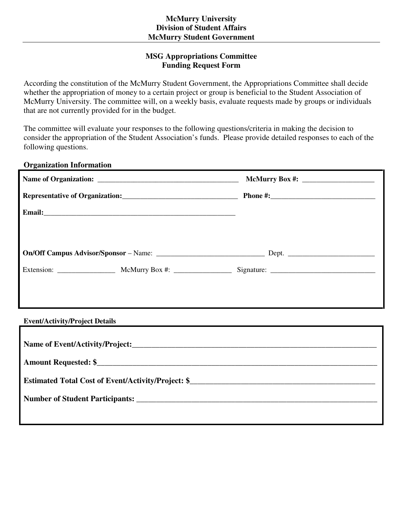## **MSG Appropriations Committee Funding Request Form**

According the constitution of the McMurry Student Government, the Appropriations Committee shall decide whether the appropriation of money to a certain project or group is beneficial to the Student Association of McMurry University. The committee will, on a weekly basis, evaluate requests made by groups or individuals that are not currently provided for in the budget.

The committee will evaluate your responses to the following questions/criteria in making the decision to consider the appropriation of the Student Association's funds. Please provide detailed responses to each of the following questions.

## **Organization Information**

|  |  | McMurry Box #: $\frac{1}{2}$ = 0.000 members of the state of the state of the state of the state of the state of the state of the state of the state of the state of the state of the state of the state of the state of the stat |  |
|--|--|-----------------------------------------------------------------------------------------------------------------------------------------------------------------------------------------------------------------------------------|--|
|  |  |                                                                                                                                                                                                                                   |  |
|  |  |                                                                                                                                                                                                                                   |  |
|  |  |                                                                                                                                                                                                                                   |  |
|  |  |                                                                                                                                                                                                                                   |  |
|  |  |                                                                                                                                                                                                                                   |  |
|  |  |                                                                                                                                                                                                                                   |  |
|  |  |                                                                                                                                                                                                                                   |  |
|  |  |                                                                                                                                                                                                                                   |  |

## **Event/Activity/Project Details**

| <b>Estimated Total Cost of Event/Activity/Project: \$</b> |
|-----------------------------------------------------------|
|                                                           |
|                                                           |